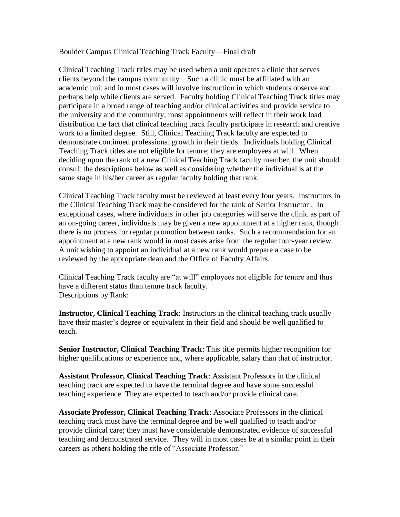Boulder Campus Clinical Teaching Track Faculty—Final draft

Clinical Teaching Track titles may be used when a unit operates a clinic that serves clients beyond the campus community. Such a clinic must be affiliated with an academic unit and in most cases will involve instruction in which students observe and perhaps help while clients are served. Faculty holding Clinical Teaching Track titles may participate in a broad range of teaching and/or clinical activities and provide service to the university and the community; most appointments will reflect in their work load distribution the fact that clinical teaching track faculty participate in research and creative work to a limited degree. Still, Clinical Teaching Track faculty are expected to demonstrate continued professional growth in their fields. Individuals holding Clinical Teaching Track titles are not eligible for tenure; they are employees at will. When deciding upon the rank of a new Clinical Teaching Track faculty member, the unit should consult the descriptions below as well as considering whether the individual is at the same stage in his/her career as regular faculty holding that rank.

Clinical Teaching Track faculty must be reviewed at least every four years. Instructors in the Clinical Teaching Track may be considered for the rank of Senior Instructor , In exceptional cases, where individuals in other job categories will serve the clinic as part of an on-going career, individuals may be given a new appointment at a higher rank, though there is no process for regular promotion between ranks. Such a recommendation for an appointment at a new rank would in most cases arise from the regular four-year review. A unit wishing to appoint an individual at a new rank would prepare a case to be reviewed by the appropriate dean and the Office of Faculty Affairs.

Clinical Teaching Track faculty are "at will" employees not eligible for tenure and thus have a different status than tenure track faculty. Descriptions by Rank:

**Instructor, Clinical Teaching Track**: Instructors in the clinical teaching track usually have their master's degree or equivalent in their field and should be well qualified to teach.

**Senior Instructor, Clinical Teaching Track**: This title permits higher recognition for higher qualifications or experience and, where applicable, salary than that of instructor.

**Assistant Professor, Clinical Teaching Track**: Assistant Professors in the clinical teaching track are expected to have the terminal degree and have some successful teaching experience. They are expected to teach and/or provide clinical care.

**Associate Professor, Clinical Teaching Track**: Associate Professors in the clinical teaching track must have the terminal degree and be well qualified to teach and/or provide clinical care; they must have considerable demonstrated evidence of successful teaching and demonstrated service. They will in most cases be at a similar point in their careers as others holding the title of "Associate Professor."